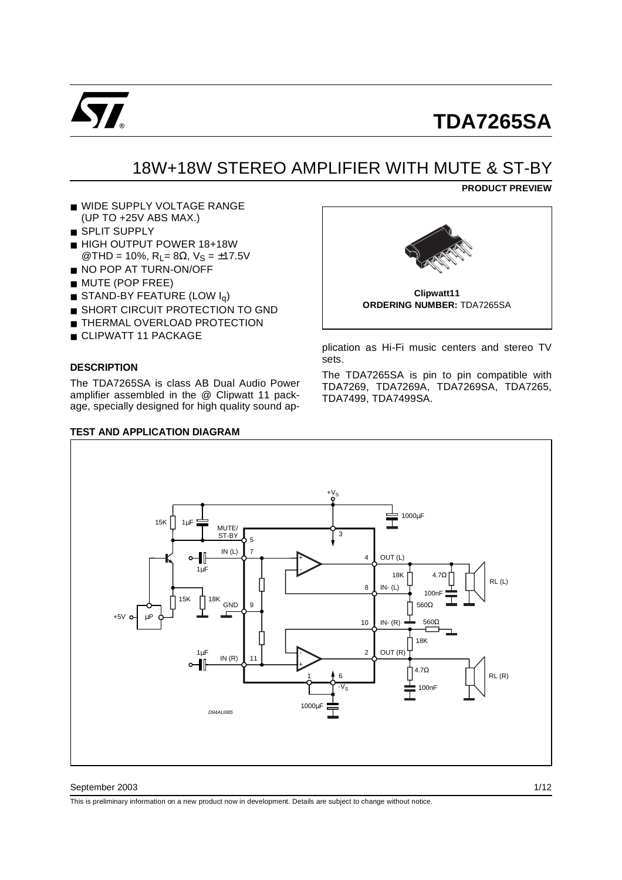

## 18W+18W STEREO AMPLIFIER WITH MUTE & ST-BY

**PRODUCT PREVIEW**

- WIDE SUPPLY VOLTAGE RANGE (UP TO +25V ABS MAX.)
- SPLIT SUPPLY
- HIGH OUTPUT POWER 18+18W  $@THD = 10\%$ , R<sub>L</sub>= 8Ω, V<sub>S</sub> = ±17.5V
- NO POP AT TURN-ON/OFF
- MUTE (POP FREE)
- $\blacksquare$  STAND-BY FEATURE (LOW  $I_{0}$ )
- SHORT CIRCUIT PROTECTION TO GND
- THERMAL OVERLOAD PROTECTION
- CLIPWATT 11 PACKAGE

#### **DESCRIPTION**

The TDA7265SA is class AB Dual Audio Power amplifier assembled in the @ Clipwatt 11 package, specially designed for high quality sound ap-

#### **TEST AND APPLICATION DIAGRAM**



**Clipwatt11 ORDERING NUMBER:** TDA7265SA

plication as Hi-Fi music centers and stereo TV sets.

The TDA7265SA is pin to pin compatible with TDA7269, TDA7269A, TDA7269SA, TDA7265, TDA7499, TDA7499SA.



#### September 2003

This is preliminary information on a new product now in development. Details are subject to change without notice.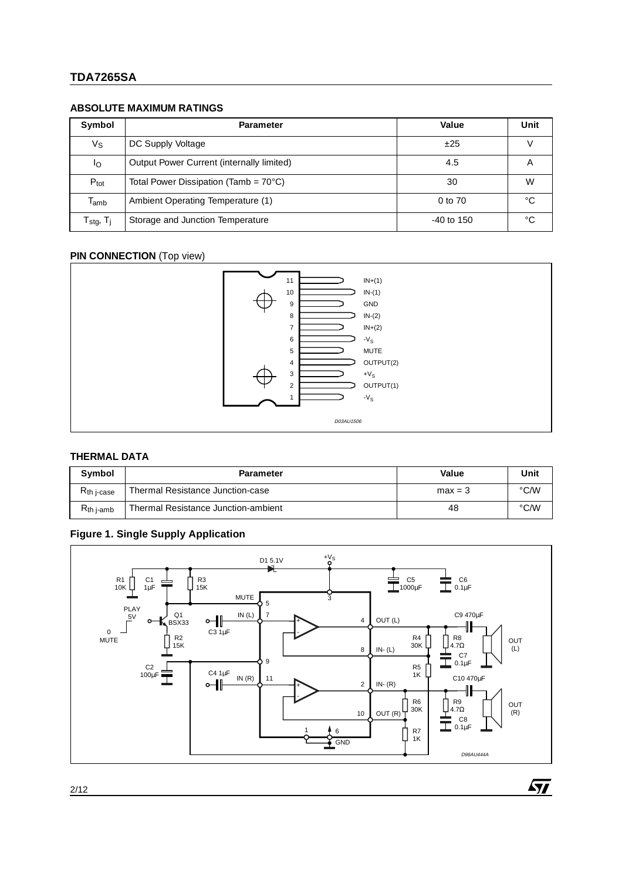#### **ABSOLUTE MAXIMUM RATINGS**

| Symbol                            | <b>Parameter</b>                                | Value        | Unit |
|-----------------------------------|-------------------------------------------------|--------------|------|
| Vs                                | DC Supply Voltage                               | ±25          |      |
| Ιo                                | Output Power Current (internally limited)       | 4.5          | А    |
| $P_{\text{tot}}$                  | Total Power Dissipation (Tamb = $70^{\circ}$ C) | 30           | W    |
| $\mathsf{T}_{\mathsf{amb}}$       | Ambient Operating Temperature (1)               | 0 to 70      | °C   |
| T <sub>stg</sub> , T <sub>j</sub> | Storage and Junction Temperature                | $-40$ to 150 | °C   |

## **PIN CONNECTION** (Top view)



#### **THERMAL DATA**

| Symbol          | <b>Parameter</b>                    | Value     | Unit          |
|-----------------|-------------------------------------|-----------|---------------|
| $R_{th}$ j-case | Thermal Resistance Junction-case    | $max = 3$ | °C/W          |
| $Rth$ i-amb     | Thermal Resistance Junction-ambient | 48        | $\degree$ C/W |

## **Figure 1. Single Supply Application**



 $\sqrt{11}$ 

 $2/12$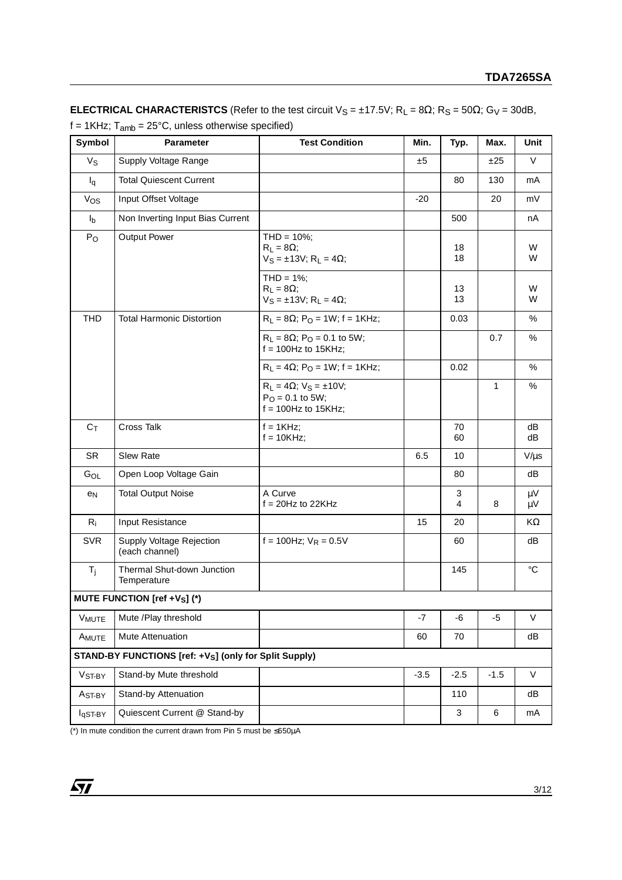| Symbol                                                             | <b>Parameter</b>                           | <b>Test Condition</b>                                                                 | Min.   | Typ.     | Max.        | Unit          |
|--------------------------------------------------------------------|--------------------------------------------|---------------------------------------------------------------------------------------|--------|----------|-------------|---------------|
| $V_{S}$                                                            | Supply Voltage Range                       |                                                                                       | ±5     |          | ±25         | $\vee$        |
| $I_q$                                                              | <b>Total Quiescent Current</b>             |                                                                                       |        | 80       | 130         | mA            |
| Vos                                                                | Input Offset Voltage                       |                                                                                       | $-20$  |          | 20          | mV            |
| $I_{\mathsf{b}}$                                                   | Non Inverting Input Bias Current           |                                                                                       |        | 500      |             | nA            |
| $P_{O}$                                                            | Output Power                               | $THD = 10\%;$<br>$R_L = 8\Omega$ ;<br>$V_S = \pm 13V$ ; R <sub>L</sub> = 4 $\Omega$ ; |        | 18<br>18 |             | W<br>W        |
|                                                                    |                                            | $THD = 1\%;$<br>$R_L = 8\Omega$ ;<br>$V_S = \pm 13V$ ; R <sub>L</sub> = 4 $\Omega$ ;  |        | 13<br>13 |             | W<br>W        |
| <b>THD</b>                                                         | <b>Total Harmonic Distortion</b>           | $R_L = 8\Omega$ ; P <sub>O</sub> = 1W; f = 1KHz;                                      |        | 0.03     |             | %             |
|                                                                    |                                            | $R_L = 8\Omega$ ; P <sub>O</sub> = 0.1 to 5W;<br>$f = 100$ Hz to 15KHz;               |        |          | 0.7         | %             |
|                                                                    |                                            | $R_L = 4\Omega$ ; P <sub>O</sub> = 1W; f = 1KHz;                                      |        | 0.02     |             | $\%$          |
|                                                                    |                                            | $R_L = 4\Omega$ ; $V_S = \pm 10V$ ;<br>$PO = 0.1$ to 5W;<br>$f = 100$ Hz to $15$ KHz; |        |          | $\mathbf 1$ | %             |
| $C_T$                                                              | Cross Talk                                 | $f = 1KHz$ ;<br>$f = 10KHz$ ;                                                         |        | 70<br>60 |             | dB<br>dB      |
| <b>SR</b>                                                          | Slew Rate                                  |                                                                                       | 6.5    | 10       |             | $V/\mu s$     |
| G <sub>OL</sub>                                                    | Open Loop Voltage Gain                     |                                                                                       |        | 80       |             | dB            |
| e <sub>N</sub>                                                     | <b>Total Output Noise</b>                  | A Curve<br>$f = 20Hz$ to 22KHz                                                        |        | 3<br>4   | 8           | $\mu$ V<br>μV |
| $R_i$                                                              | Input Resistance                           |                                                                                       | 15     | 20       |             | KΩ            |
| <b>SVR</b>                                                         | Supply Voltage Rejection<br>(each channel) | $f = 100$ Hz; $V_R = 0.5V$                                                            |        | 60       |             | dB            |
| $T_i$                                                              | Thermal Shut-down Junction<br>Temperature  |                                                                                       |        | 145      |             | °C            |
|                                                                    | MUTE FUNCTION [ref +V <sub>S</sub> ] (*)   |                                                                                       |        |          |             |               |
| <b>VMUTE</b>                                                       | Mute /Play threshold                       |                                                                                       | $-7$   | -6       | -5          | V             |
| AMUTE                                                              | Mute Attenuation                           |                                                                                       | 60     | 70       |             | dB            |
| STAND-BY FUNCTIONS [ref: +V <sub>S</sub> ] (only for Split Supply) |                                            |                                                                                       |        |          |             |               |
| V <sub>ST-BY</sub>                                                 | Stand-by Mute threshold                    |                                                                                       | $-3.5$ | $-2.5$   | $-1.5$      | $\vee$        |
| A <sub>ST-BY</sub>                                                 | Stand-by Attenuation                       |                                                                                       |        | 110      |             | dB            |
| l <sub>q</sub> st-BY                                               | Quiescent Current @ Stand-by               |                                                                                       |        | 3        | 6           | mA            |

**ELECTRICAL CHARACTERISTCS** (Refer to the test circuit  $V_S = \pm 17.5V$ ; R<sub>L</sub> = 8 $\Omega$ ; R<sub>S</sub> = 50 $\Omega$ ; G<sub>V</sub> = 30dB,  $f = 1KHz$ ;  $T_{amb} = 25°C$ , unless otherwise specified)

(\*) In mute condition the current drawn from Pin 5 must be ≤650µA

 $\sqrt{1}$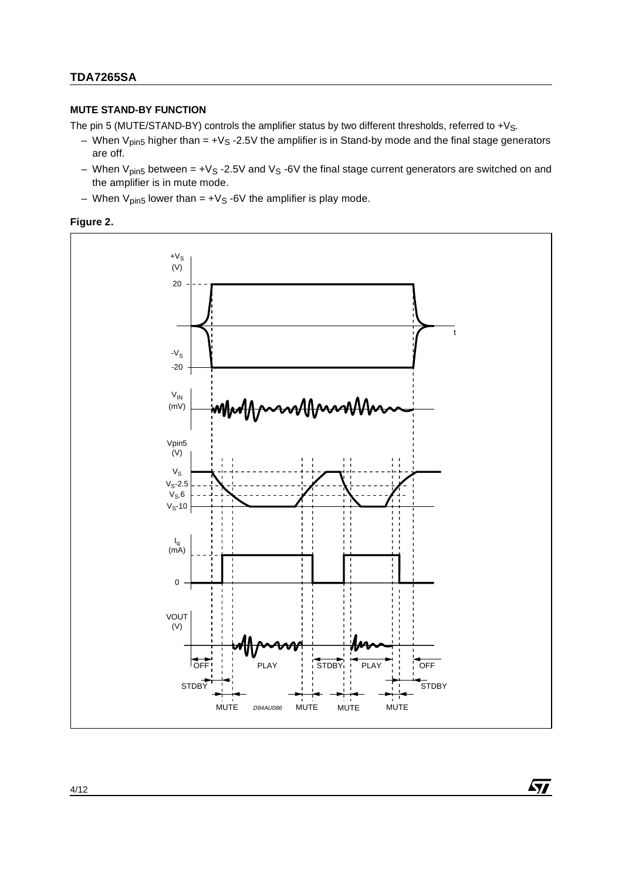## **MUTE STAND-BY FUNCTION**

The pin 5 (MUTE/STAND-BY) controls the amplifier status by two different thresholds, referred to +V<sub>S</sub>.

- When  $V_{pin5}$  higher than = +V<sub>S</sub> -2.5V the amplifier is in Stand-by mode and the final stage generators are off.
- When  $V_{pin5}$  between = +Vs -2.5V and Vs -6V the final stage current generators are switched on and the amplifier is in mute mode.
- When  $V_{pin5}$  lower than = + $V_S$  -6V the amplifier is play mode.





勾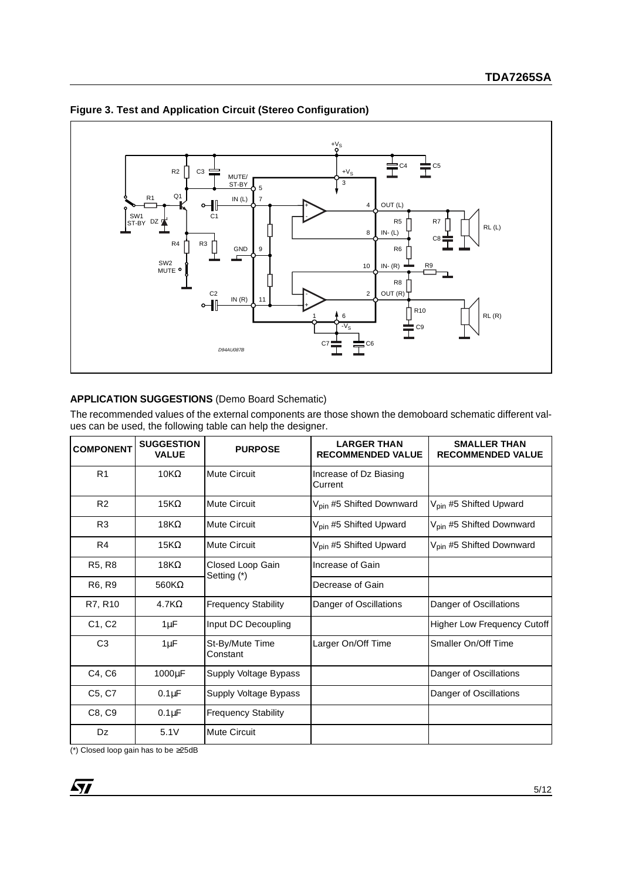

## **Figure 3. Test and Application Circuit (Stereo Configuration)**

## **APPLICATION SUGGESTIONS** (Demo Board Schematic)

The recommended values of the external components are those shown the demoboard schematic different values can be used, the following table can help the designer.

| <b>COMPONENT</b>                | <b>SUGGESTION</b><br><b>VALUE</b> | <b>PURPOSE</b>                  | <b>LARGER THAN</b><br><b>RECOMMENDED VALUE</b> | <b>SMALLER THAN</b><br><b>RECOMMENDED VALUE</b> |
|---------------------------------|-----------------------------------|---------------------------------|------------------------------------------------|-------------------------------------------------|
| R <sub>1</sub>                  | $10K\Omega$                       | <b>Mute Circuit</b>             | Increase of Dz Biasing<br>Current              |                                                 |
| R <sub>2</sub>                  | $15K\Omega$                       | <b>Mute Circuit</b>             | V <sub>pin</sub> #5 Shifted Downward           | V <sub>pin</sub> #5 Shifted Upward              |
| R <sub>3</sub>                  | $18K\Omega$                       | <b>Mute Circuit</b>             | V <sub>pin</sub> #5 Shifted Upward             | V <sub>pin</sub> #5 Shifted Downward            |
| R <sub>4</sub>                  | $15K\Omega$                       | <b>Mute Circuit</b>             | V <sub>pin</sub> #5 Shifted Upward             | V <sub>pin</sub> #5 Shifted Downward            |
| R <sub>5</sub> , R <sub>8</sub> | $18K\Omega$                       | Closed Loop Gain<br>Setting (*) | Increase of Gain                               |                                                 |
| R6, R9                          | $560K\Omega$                      |                                 | Decrease of Gain                               |                                                 |
| R7, R10                         | 4.7 $K\Omega$                     | <b>Frequency Stability</b>      | Danger of Oscillations                         | Danger of Oscillations                          |
| C1, C2                          | $1 \mu F$                         | Input DC Decoupling             |                                                | Higher Low Frequency Cutoff                     |
| C <sub>3</sub>                  | $1 \mu F$                         | St-By/Mute Time<br>Constant     | Larger On/Off Time                             | Smaller On/Off Time                             |
| C4, C6                          | 1000µF                            | Supply Voltage Bypass           |                                                | Danger of Oscillations                          |
| C5, C7                          | $0.1 \mu F$                       | Supply Voltage Bypass           |                                                | Danger of Oscillations                          |
| C8, C9                          | $0.1 \mu F$                       | <b>Frequency Stability</b>      |                                                |                                                 |
| Dz                              | 5.1V                              | <b>Mute Circuit</b>             |                                                |                                                 |

(\*) Closed loop gain has to be ≥25dB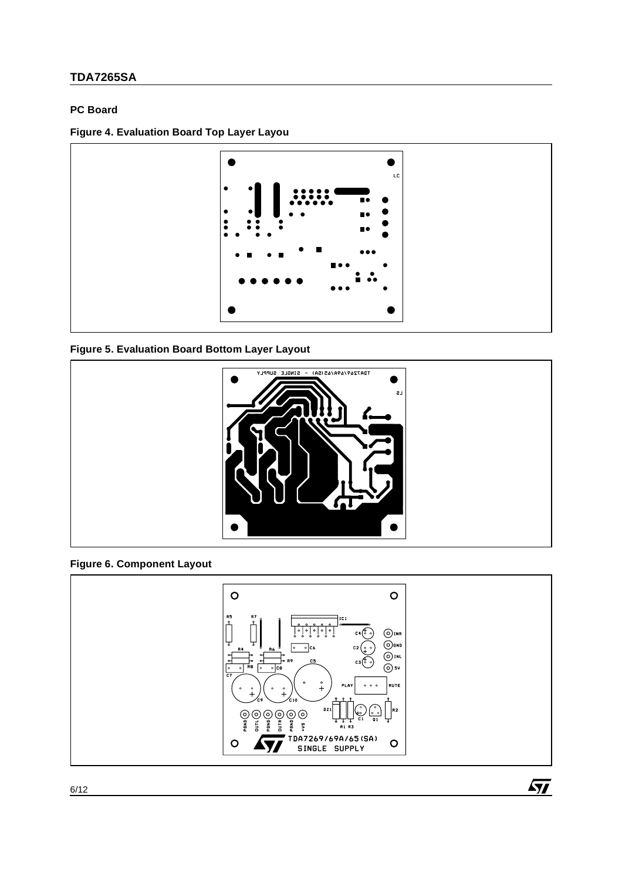## **PC Board**

## **Figure 4. Evaluation Board Top Layer Layou**



## **Figure 5. Evaluation Board Bottom Layer Layout**



## **Figure 6. Component Layout**



 $\sqrt{M}$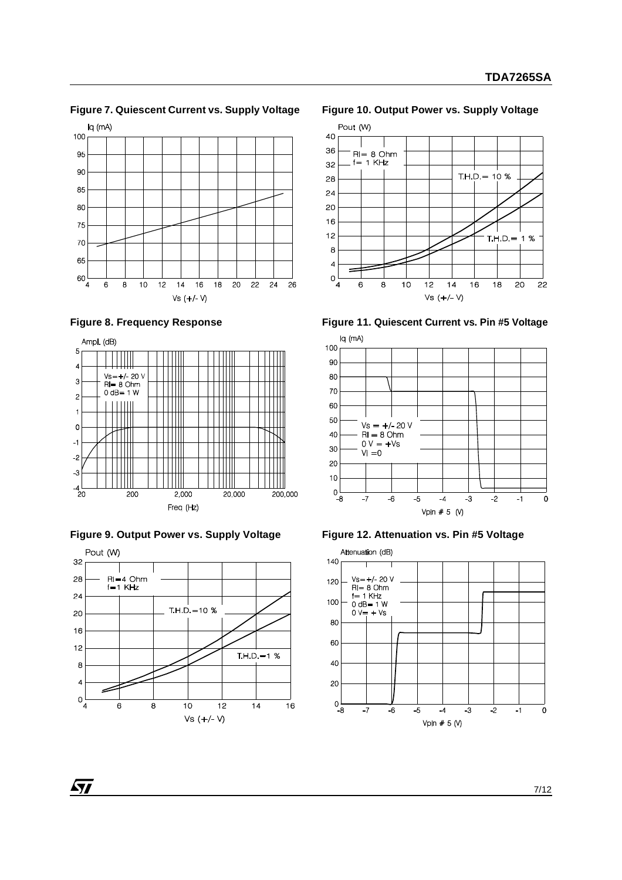**Figure 7. Quiescent Current vs. Supply Voltage**











**Figure 10. Output Power vs. Supply Voltage**











 $\sqrt{1}$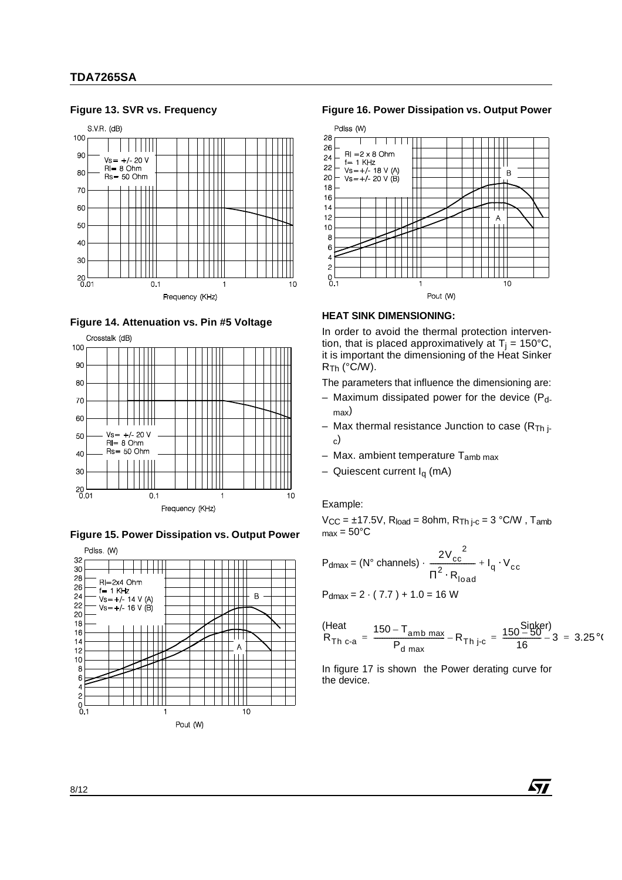#### **Figure 13. SVR vs. Frequency**



#### **Figure 14. Attenuation vs. Pin #5 Voltage**







#### **Figure 16. Power Dissipation vs. Output Power**



#### **HEAT SINK DIMENSIONING:**

In order to avoid the thermal protection intervention, that is placed approximatively at  $T_i = 150^{\circ}C$ , it is important the dimensioning of the Heat Sinker  $R_{\text{Th}}$  (°C/W).

The parameters that influence the dimensioning are:

- Maximum dissipated power for the device  $(P_d)$ max)
- Max thermal resistance Junction to case  $(R_{Th})$ c)
- $-$  Max. ambient temperature  $T_{amb\, max}$
- $-$  Quiescent current  $I_q$  (mA)

#### Example:

 $V_{CC} = \pm 17.5V$ ,  $R_{load} = 8$ ohm,  $R_{Th i-c} = 3 °C/W$ ,  $T_{amb}$  $_{max}$  = 50 $^{\circ}$ C

$$
P_{\text{dmax}} = (N^{\circ} \text{ channels}) \cdot \frac{2V_{\text{cc}}^{2}}{\Pi^{2} \cdot R_{\text{load}}} + I_{q} \cdot V_{\text{cc}}
$$

 $P_{\text{dmax}} = 2 \cdot (7.7) + 1.0 = 16 W$ 

$$
R_{\text{Th c-a}} = \frac{150 - T_{\text{amb max}}}{P_{\text{d max}}} - R_{\text{Th j-c}} = \frac{150 - 50}{16} - 3 = 3.25^{\circ}.
$$

 $\sqrt{M}$ 

In figure 17 is shown the Power derating curve for the device.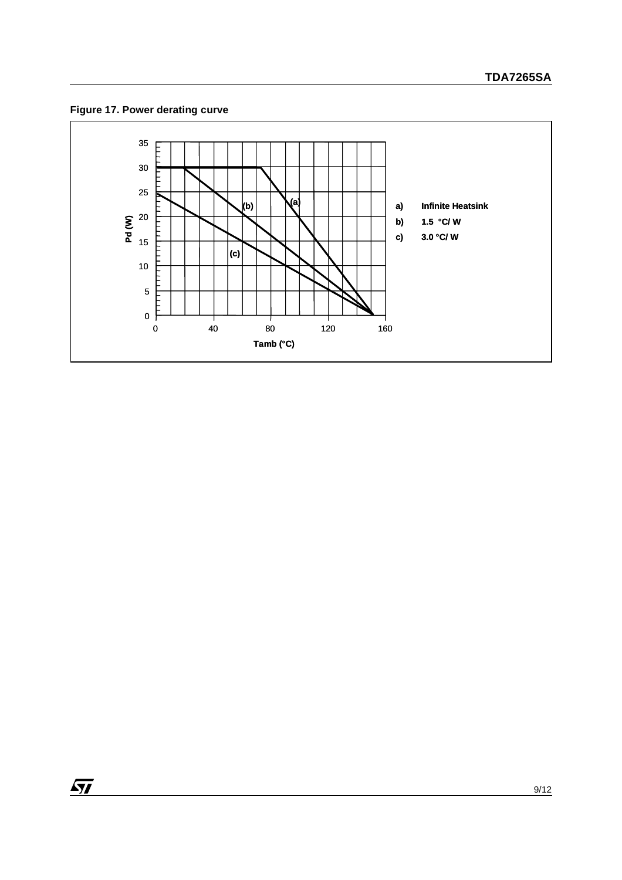**Figure 17. Power derating curve**

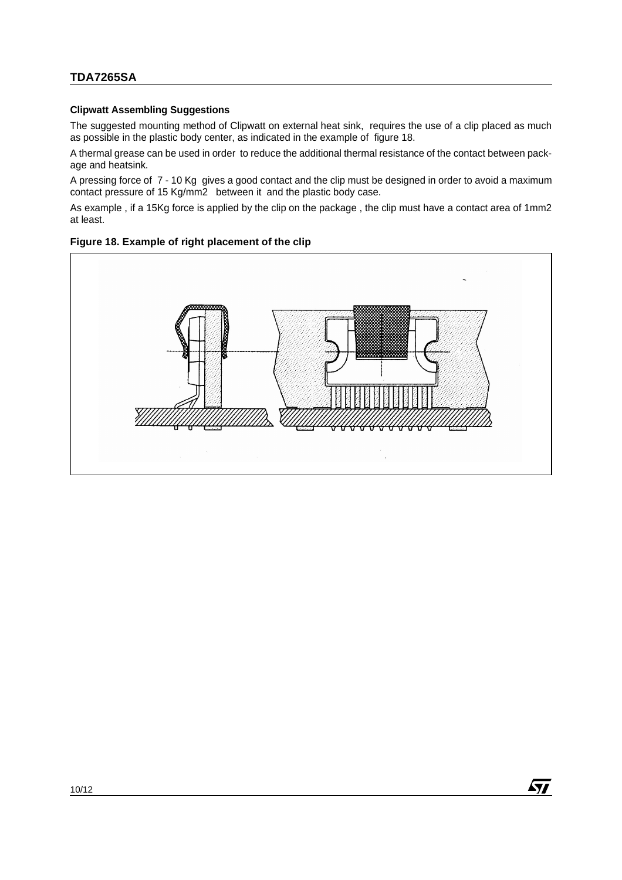#### **Clipwatt Assembling Suggestions**

The suggested mounting method of Clipwatt on external heat sink, requires the use of a clip placed as much as possible in the plastic body center, as indicated in the example of figure 18.

A thermal grease can be used in order to reduce the additional thermal resistance of the contact between package and heatsink.

A pressing force of 7 - 10 Kg gives a good contact and the clip must be designed in order to avoid a maximum contact pressure of 15 Kg/mm2 between it and the plastic body case.

As example , if a 15Kg force is applied by the clip on the package , the clip must have a contact area of 1mm2 at least.



 $\sqrt{M}$ 

#### **Figure 18. Example of right placement of the clip**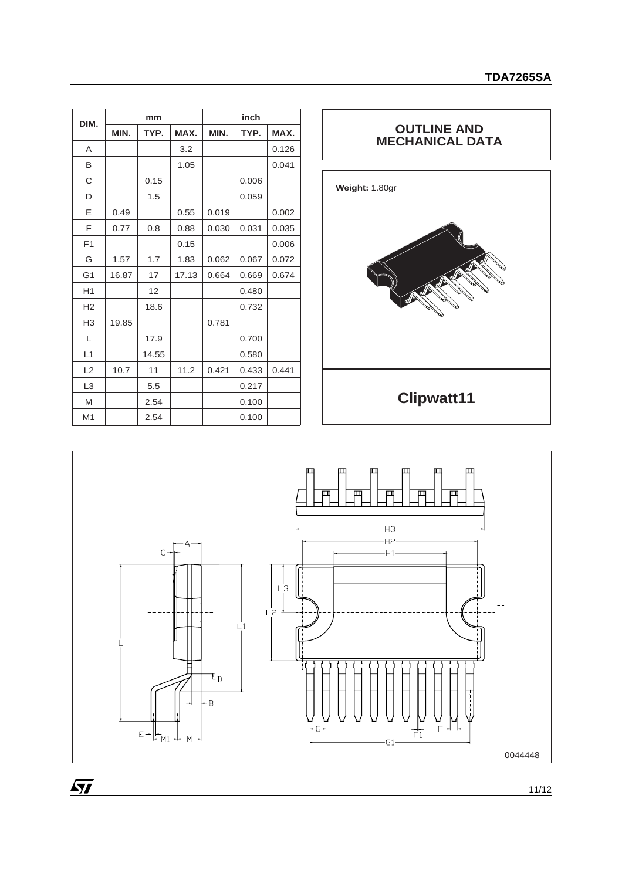| DIM.           | mm    |       |       | inch  |       |       |  |
|----------------|-------|-------|-------|-------|-------|-------|--|
|                | MIN.  | TYP.  | MAX.  | MIN.  | TYP.  | MAX.  |  |
| A              |       |       | 3.2   |       |       | 0.126 |  |
| B              |       |       | 1.05  |       |       | 0.041 |  |
| C              |       | 0.15  |       |       | 0.006 |       |  |
| D              |       | 1.5   |       |       | 0.059 |       |  |
| E              | 0.49  |       | 0.55  | 0.019 |       | 0.002 |  |
| F              | 0.77  | 0.8   | 0.88  | 0.030 | 0.031 | 0.035 |  |
| F1             |       |       | 0.15  |       |       | 0.006 |  |
| G              | 1.57  | 1.7   | 1.83  | 0.062 | 0.067 | 0.072 |  |
| G <sub>1</sub> | 16.87 | 17    | 17.13 | 0.664 | 0.669 | 0.674 |  |
| H1             |       | 12    |       |       | 0.480 |       |  |
| H <sub>2</sub> |       | 18.6  |       |       | 0.732 |       |  |
| H <sub>3</sub> | 19.85 |       |       | 0.781 |       |       |  |
| L              |       | 17.9  |       |       | 0.700 |       |  |
| L1             |       | 14.55 |       |       | 0.580 |       |  |
| L2             | 10.7  | 11    | 11.2  | 0.421 | 0.433 | 0.441 |  |
| L <sub>3</sub> |       | 5.5   |       |       | 0.217 |       |  |
| M              |       | 2.54  |       |       | 0.100 |       |  |
| M <sub>1</sub> |       | 2.54  |       |       | 0.100 |       |  |